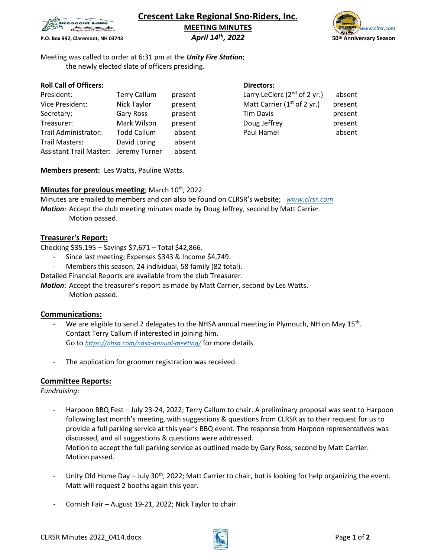

# **Crescent Lake Regional Sno-Riders, Inc. MEETING MINUTES**<br> *April 14<sup>th</sup>, 2022* 50th Anniversary Season



**P.O. Box 992, Claremont, NH 03743** 

Meeting was called to order at 6:31 pm at the *Unity Fire Station*; the newly elected slate of officers presiding.

# **Roll Call of Officers: Directors: Directors:**

| President:                            | <b>Terry Callum</b> | present | Larry LeClerc $(2^{nd}$ of 2 yr.) | absent  |
|---------------------------------------|---------------------|---------|-----------------------------------|---------|
| Vice President:                       | Nick Taylor         | present | Matt Carrier ( $1st$ of 2 yr.)    | present |
| Secretary:                            | Gary Ross           | present | Tim Davis                         | present |
| Treasurer:                            | Mark Wilson         | present | Doug Jeffrey                      | present |
| Trail Administrator:                  | <b>Todd Callum</b>  | absent  | Paul Hamel                        | absent  |
| Trail Masters:                        | David Loring        | absent  |                                   |         |
| Assistant Trail Master: Jeremy Turner |                     | absent  |                                   |         |

| Larry LeClerc ( $2nd$ of 2 yr.)         | absent  |
|-----------------------------------------|---------|
| Matt Carrier (1 <sup>st</sup> of 2 yr.) | present |
| <b>Tim Davis</b>                        | present |
| Doug Jeffrey                            | present |
| Paul Hamel                              | absent  |

**Members present:** Les Watts, Pauline Watts.

# Minutes for previous meeting; March 10<sup>th</sup>, 2022.

Minutes are emailed to members and can also be found on CLRSR's website; *www.clrsr.com Motion*: Accept the club meeting minutes made by Doug Jeffrey, second by Matt Carrier.

Motion passed.

# **Treasurer's Report:**

Checking \$35,195 – Savings \$7,671 – Total \$42,866.

- Since last meeting; Expenses \$343 & Income \$4,749.
- Members this season: 24 individual, 58 family (82 total).

Detailed Financial Reports are available from the club Treasurer.

*Motion*: Accept the treasurer's report as made by Matt Carrier, second by Les Watts.

Motion passed.

# **Communications:**

- We are eligible to send 2 delegates to the NHSA annual meeting in Plymouth, NH on May 15<sup>th</sup>. Contact Terry Callum if interested in joining him. Go to *<https://nhsa.com/nhsa-annual-meeting/>* for more details.
- The application for groomer registration was received.

# **Committee Reports:**

*Fundraising*:

- Harpoon BBQ Fest July 23-24, 2022; Terry Callum to chair. A preliminary proposal was sent to Harpoon following last month's meeting, with suggestions & questions from CLRSR as to their request for us to provide a full parking service at this year's BBQ event. The response from Harpoon representatives was discussed, and all suggestions & questions were addressed. Motion to accept the full parking service as outlined made by Gary Ross, second by Matt Carrier. Motion passed.
- Unity Old Home Day July 30<sup>th</sup>, 2022; Matt Carrier to chair, but is looking for help organizing the event. Matt will request 2 booths again this year.
- Cornish Fair August 19-21, 2022; Nick Taylor to chair.